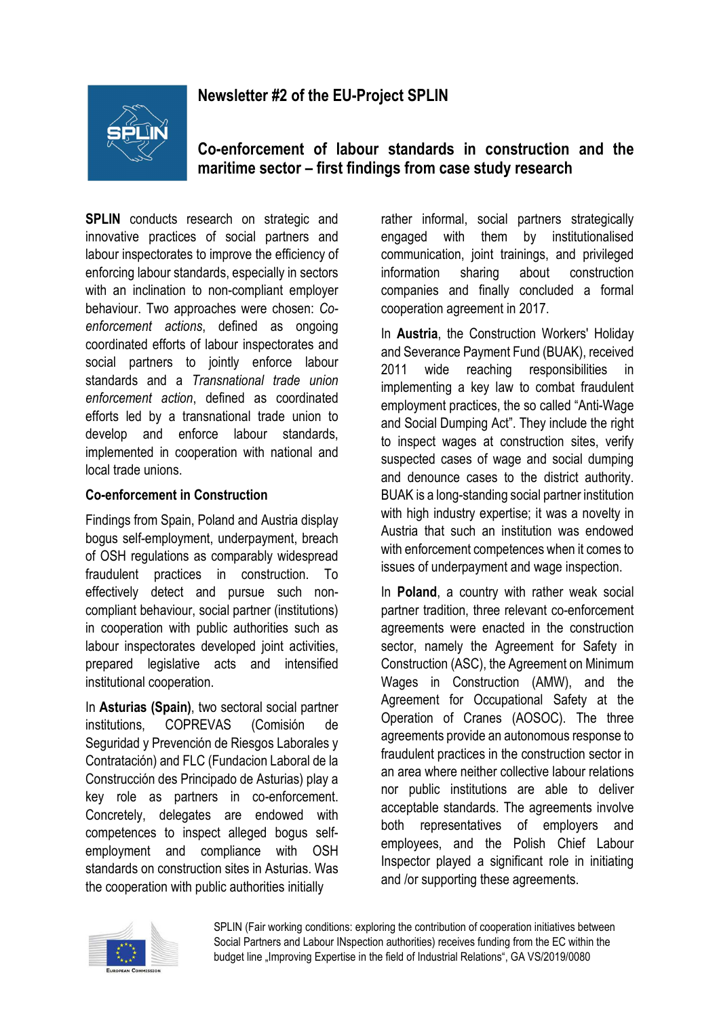# **Newsletter #2 of the EU-Project SPLIN**



**Co-enforcement of labour standards in construction and the maritime sector – first findings from case study research** 

**SPLIN** conducts research on strategic and innovative practices of social partners and labour inspectorates to improve the efficiency of enforcing labour standards, especially in sectors with an inclination to non-compliant employer behaviour. Two approaches were chosen: *Coenforcement actions*, defined as ongoing coordinated efforts of labour inspectorates and social partners to jointly enforce labour standards and a *Transnational trade union enforcement action*, defined as coordinated efforts led by a transnational trade union to develop and enforce labour standards, implemented in cooperation with national and local trade unions.

#### **Co-enforcement in Construction**

Findings from Spain, Poland and Austria display bogus self-employment, underpayment, breach of OSH regulations as comparably widespread fraudulent practices in construction. To effectively detect and pursue such noncompliant behaviour, social partner (institutions) in cooperation with public authorities such as labour inspectorates developed joint activities, prepared legislative acts and intensified institutional cooperation.

In **Asturias (Spain)**, two sectoral social partner institutions, COPREVAS (Comisión de Seguridad y Prevención de Riesgos Laborales y Contratación) and FLC (Fundacion Laboral de la Construcción des Principado de Asturias) play a key role as partners in co-enforcement. Concretely, delegates are endowed with competences to inspect alleged bogus selfemployment and compliance with OSH standards on construction sites in Asturias. Was the cooperation with public authorities initially

rather informal, social partners strategically engaged with them by institutionalised communication, joint trainings, and privileged information sharing about construction companies and finally concluded a formal cooperation agreement in 2017.

In **Austria**, the Construction Workers' Holiday and Severance Payment Fund (BUAK), received 2011 wide reaching responsibilities in implementing a key law to combat fraudulent employment practices, the so called "Anti-Wage and Social Dumping Act". They include the right to inspect wages at construction sites, verify suspected cases of wage and social dumping and denounce cases to the district authority. BUAK is a long-standing social partner institution with high industry expertise; it was a novelty in Austria that such an institution was endowed with enforcement competences when it comes to issues of underpayment and wage inspection.

In **Poland**, a country with rather weak social partner tradition, three relevant co-enforcement agreements were enacted in the construction sector, namely the Agreement for Safety in Construction (ASC), the Agreement on Minimum Wages in Construction (AMW), and the Agreement for Occupational Safety at the Operation of Cranes (AOSOC). The three agreements provide an autonomous response to fraudulent practices in the construction sector in an area where neither collective labour relations nor public institutions are able to deliver acceptable standards. The agreements involve both representatives of employers and employees, and the Polish Chief Labour Inspector played a significant role in initiating and /or supporting these agreements.



SPLIN (Fair working conditions: exploring the contribution of cooperation initiatives between Social Partners and Labour INspection authorities) receives funding from the EC within the budget line "Improving Expertise in the field of Industrial Relations", GA VS/2019/0080